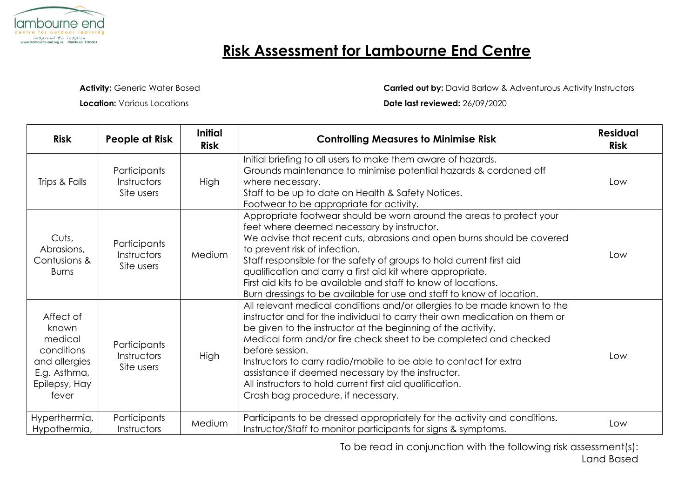

## **Risk Assessment for Lambourne End Centre**

**Activity: Generic Water Based** 

**Location:** Various Locations

**Carried out by:** David Barlow & Adventurous Activity Instructors

**Date last reviewed:** 26/09/2020

| <b>Risk</b>                                                                                            | People at Risk                            | <b>Initial</b><br><b>Risk</b> | <b>Controlling Measures to Minimise Risk</b>                                                                                                                                                                                                                                                                                                                                                                                                                                                                                              | <b>Residual</b><br><b>Risk</b> |
|--------------------------------------------------------------------------------------------------------|-------------------------------------------|-------------------------------|-------------------------------------------------------------------------------------------------------------------------------------------------------------------------------------------------------------------------------------------------------------------------------------------------------------------------------------------------------------------------------------------------------------------------------------------------------------------------------------------------------------------------------------------|--------------------------------|
| Trips & Falls                                                                                          | Participants<br>Instructors<br>Site users | <b>High</b>                   | Initial briefing to all users to make them aware of hazards.<br>Grounds maintenance to minimise potential hazards & cordoned off<br>where necessary.<br>Staff to be up to date on Health & Safety Notices.<br>Footwear to be appropriate for activity.                                                                                                                                                                                                                                                                                    | Low                            |
| Cuts,<br>Abrasions,<br>Contusions &<br><b>Burns</b>                                                    | Participants<br>Instructors<br>Site users | Medium                        | Appropriate footwear should be worn around the areas to protect your<br>feet where deemed necessary by instructor.<br>We advise that recent cuts, abrasions and open burns should be covered<br>to prevent risk of infection.<br>Staff responsible for the safety of groups to hold current first aid<br>qualification and carry a first aid kit where appropriate.<br>First aid kits to be available and staff to know of locations.<br>Burn dressings to be available for use and staff to know of location.                            | Low                            |
| Affect of<br>known<br>medical<br>conditions<br>and allergies<br>E.g. Asthma,<br>Epilepsy, Hay<br>fever | Participants<br>Instructors<br>Site users | High                          | All relevant medical conditions and/or allergies to be made known to the<br>instructor and for the individual to carry their own medication on them or<br>be given to the instructor at the beginning of the activity.<br>Medical form and/or fire check sheet to be completed and checked<br>before session.<br>Instructors to carry radio/mobile to be able to contact for extra<br>assistance if deemed necessary by the instructor.<br>All instructors to hold current first aid qualification.<br>Crash bag procedure, if necessary. | Low                            |
| Hyperthermia,<br>Hypothermia,                                                                          | Participants<br>Instructors               | Medium                        | Participants to be dressed appropriately for the activity and conditions.<br>Instructor/Staff to monitor participants for signs & symptoms.                                                                                                                                                                                                                                                                                                                                                                                               | Low                            |

To be read in conjunction with the following risk assessment(s): Land Based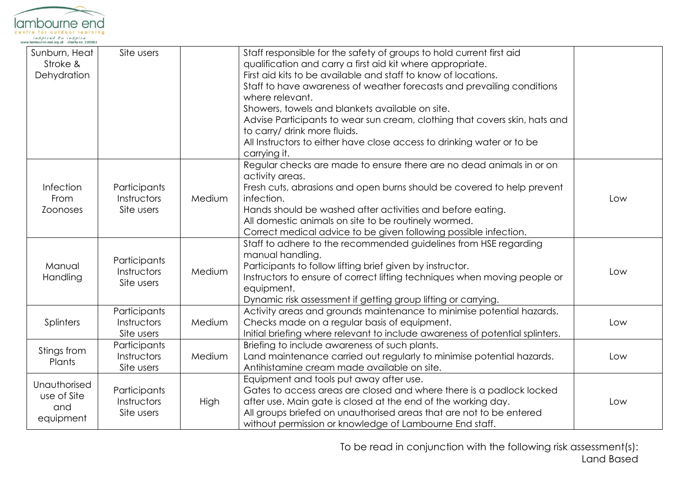

| Sunburn, Heat<br>Stroke &<br>Dehydration        | Site users                                |        | Staff responsible for the safety of groups to hold current first aid<br>qualification and carry a first aid kit where appropriate.<br>First aid kits to be available and staff to know of locations.<br>Staff to have awareness of weather forecasts and prevailing conditions<br>where relevant.                                                                         |     |
|-------------------------------------------------|-------------------------------------------|--------|---------------------------------------------------------------------------------------------------------------------------------------------------------------------------------------------------------------------------------------------------------------------------------------------------------------------------------------------------------------------------|-----|
|                                                 |                                           |        | Showers, towels and blankets available on site.<br>Advise Participants to wear sun cream, clothing that covers skin, hats and<br>to carry/ drink more fluids.<br>All Instructors to either have close access to drinking water or to be<br>carrying it.                                                                                                                   |     |
| Infection<br>From<br><b>Zoonoses</b>            | Participants<br>Instructors<br>Site users | Medium | Regular checks are made to ensure there are no dead animals in or on<br>activity areas.<br>Fresh cuts, abrasions and open burns should be covered to help prevent<br>infection.<br>Hands should be washed after activities and before eating.<br>All domestic animals on site to be routinely wormed.<br>Correct medical advice to be given following possible infection. | Low |
| Manual<br>Handling                              | Participants<br>Instructors<br>Site users | Medium | Staff to adhere to the recommended guidelines from HSE regarding<br>manual handling.<br>Participants to follow lifting brief given by instructor.<br>Instructors to ensure of correct lifting techniques when moving people or<br>equipment.<br>Dynamic risk assessment if getting group lifting or carrying.                                                             | Low |
| Splinters                                       | Participants<br>Instructors<br>Site users | Medium | Activity areas and grounds maintenance to minimise potential hazards.<br>Checks made on a regular basis of equipment.<br>Initial briefing where relevant to include awareness of potential splinters.                                                                                                                                                                     | Low |
| Stings from<br>Plants                           | Participants<br>Instructors<br>Site users | Medium | Briefing to include awareness of such plants.<br>Land maintenance carried out regularly to minimise potential hazards.<br>Antihistamine cream made available on site.                                                                                                                                                                                                     | Low |
| Unauthorised<br>use of Site<br>and<br>equipment | Participants<br>Instructors<br>Site users | High   | Equipment and tools put away after use.<br>Gates to access areas are closed and where there is a padlock locked<br>after use. Main gate is closed at the end of the working day.<br>All groups briefed on unauthorised areas that are not to be entered<br>without permission or knowledge of Lambourne End staff.                                                        | Low |

To be read in conjunction with the following risk assessment(s): Land Based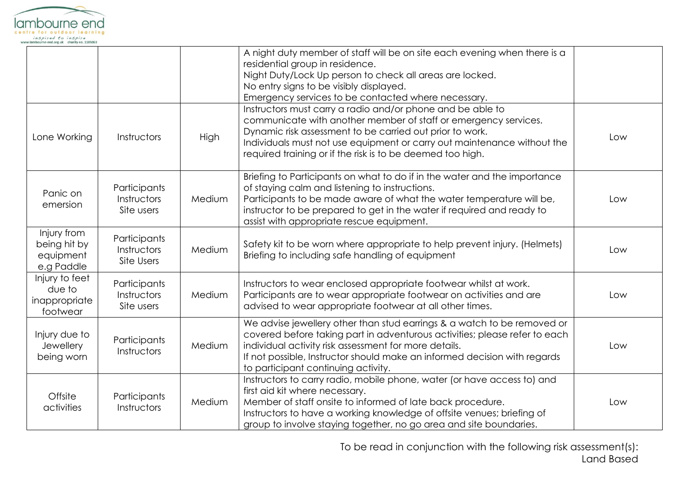

|                                                        |                                           |        | A night duty member of staff will be on site each evening when there is a<br>residential group in residence.<br>Night Duty/Lock Up person to check all areas are locked.<br>No entry signs to be visibly displayed.                                                                                                                |     |
|--------------------------------------------------------|-------------------------------------------|--------|------------------------------------------------------------------------------------------------------------------------------------------------------------------------------------------------------------------------------------------------------------------------------------------------------------------------------------|-----|
| Lone Working                                           | Instructors                               | High   | Emergency services to be contacted where necessary.<br>Instructors must carry a radio and/or phone and be able to<br>communicate with another member of staff or emergency services.<br>Dynamic risk assessment to be carried out prior to work.<br>Individuals must not use equipment or carry out maintenance without the        | Low |
|                                                        |                                           |        | required training or if the risk is to be deemed too high.                                                                                                                                                                                                                                                                         |     |
| Panic on<br>emersion                                   | Participants<br>Instructors<br>Site users | Medium | Briefing to Participants on what to do if in the water and the importance<br>of staying calm and listening to instructions.<br>Participants to be made aware of what the water temperature will be,<br>instructor to be prepared to get in the water if required and ready to<br>assist with appropriate rescue equipment.         | Low |
| Injury from<br>being hit by<br>equipment<br>e.g Paddle | Participants<br>Instructors<br>Site Users | Medium | Safety kit to be worn where appropriate to help prevent injury. (Helmets)<br>Briefing to including safe handling of equipment                                                                                                                                                                                                      | Low |
| Injury to feet<br>due to<br>inappropriate<br>footwear  | Participants<br>Instructors<br>Site users | Medium | Instructors to wear enclosed appropriate footwear whilst at work.<br>Participants are to wear appropriate footwear on activities and are<br>advised to wear appropriate footwear at all other times.                                                                                                                               | Low |
| Injury due to<br>Jewellery<br>being worn               | Participants<br>Instructors               | Medium | We advise jewellery other than stud earrings & a watch to be removed or<br>covered before taking part in adventurous activities; please refer to each<br>individual activity risk assessment for more details.<br>If not possible, Instructor should make an informed decision with regards<br>to participant continuing activity. | Low |
| Offsite<br>activities                                  | Participants<br>Instructors               | Medium | Instructors to carry radio, mobile phone, water (or have access to) and<br>first aid kit where necessary.<br>Member of staff onsite to informed of late back procedure.<br>Instructors to have a working knowledge of offsite venues; briefing of<br>group to involve staying together, no go area and site boundaries.            | Low |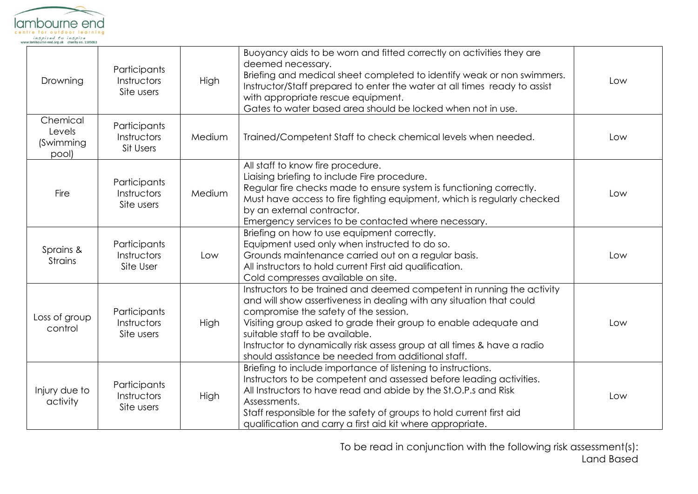

| Drowning                                 | Participants<br>Instructors<br>Site users | High   | Buoyancy aids to be worn and fitted correctly on activities they are<br>deemed necessary.<br>Briefing and medical sheet completed to identify weak or non swimmers.<br>Instructor/Staff prepared to enter the water at all times ready to assist<br>with appropriate rescue equipment.<br>Gates to water based area should be locked when not in use.                                                                           | Low |
|------------------------------------------|-------------------------------------------|--------|---------------------------------------------------------------------------------------------------------------------------------------------------------------------------------------------------------------------------------------------------------------------------------------------------------------------------------------------------------------------------------------------------------------------------------|-----|
| Chemical<br>Levels<br>(Swimming<br>pool) | Participants<br>Instructors<br>Sit Users  | Medium | Trained/Competent Staff to check chemical levels when needed.                                                                                                                                                                                                                                                                                                                                                                   | Low |
| Fire                                     | Participants<br>Instructors<br>Site users | Medium | All staff to know fire procedure.<br>Liaising briefing to include Fire procedure.<br>Regular fire checks made to ensure system is functioning correctly.<br>Must have access to fire fighting equipment, which is regularly checked<br>by an external contractor.<br>Emergency services to be contacted where necessary.                                                                                                        | Low |
| Sprains &<br><b>Strains</b>              | Participants<br>Instructors<br>Site User  | Low    | Briefing on how to use equipment correctly.<br>Equipment used only when instructed to do so.<br>Grounds maintenance carried out on a regular basis.<br>All instructors to hold current First aid qualification.<br>Cold compresses available on site.                                                                                                                                                                           | Low |
| Loss of group<br>control                 | Participants<br>Instructors<br>Site users | High   | Instructors to be trained and deemed competent in running the activity<br>and will show assertiveness in dealing with any situation that could<br>compromise the safety of the session.<br>Visiting group asked to grade their group to enable adequate and<br>suitable staff to be available.<br>Instructor to dynamically risk assess group at all times & have a radio<br>should assistance be needed from additional staff. | Low |
| Injury due to<br>activity                | Participants<br>Instructors<br>Site users | High   | Briefing to include importance of listening to instructions.<br>Instructors to be competent and assessed before leading activities.<br>All Instructors to have read and abide by the St.O.P.s and Risk<br>Assessments.<br>Staff responsible for the safety of groups to hold current first aid<br>qualification and carry a first aid kit where appropriate.                                                                    | Low |